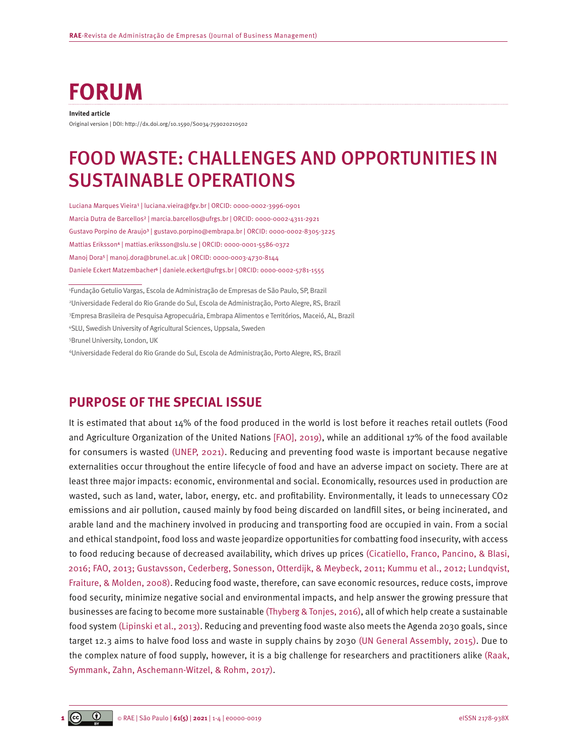# **FORUM**

#### **Invited article**

Original version | DOI: [http://dx.doi.org/10.1590/S0034-759020210502](http://dx.doi.org/10.1590/S0034-759020210502x)

# FOOD WASTE: CHALLENGES AND OPPORTUNITIES IN SUSTAINABLE OPERATIONS

Luciana Marques Vieira<sup>1</sup> | [luciana.vieira@fgv.br](mailto:luciana.vieira@fgv.br) | ORCID: 0000-0002-3996-0901 Marcia Dutra de Barcellos² | [marcia.barcellos@ufrgs.br](mailto:marcia.barcellos@ufrgs.br) | ORCID: 0000-0002-4311-2921 Gustavo Porpino de Araujo<sup>3</sup> | [gustavo.porpino@embrapa.br](mailto:gustavo.porpino@embrapa.br) | ORCID: 0000-0002-8305-3225 Mattias Eriksson⁴ | [mattias.eriksson@slu.se](mailto:mattias.eriksson@slu.se) | ORCID: 0000-0001-5586-0372 Manoj Dora⁵ | [manoj.dora@brunel.ac.uk](mailto:manoj.dora@brunel.ac.uk) | ORCID: 0000-0003-4730-8144 Daniele Eckert Matzembacher<sup>6</sup> | [daniele.eckert@ufrgs.br](mailto:daniele.eckert@ufrgs.br) | ORCID: 0000-0002-5781-1555

 Fundação Getulio Vargas, Escola de Administração de Empresas de São Paulo, SP, Brazil Universidade Federal do Rio Grande do Sul, Escola de Administração, Porto Alegre, RS, Brazil Empresa Brasileira de Pesquisa Agropecuária, Embrapa Alimentos e Territórios, Maceió, AL, Brazil SLU, Swedish University of Agricultural Sciences, Uppsala, Sweden Brunel University, London, UK

6 Universidade Federal do Rio Grande do Sul, Escola de Administração, Porto Alegre, RS, Brazil

### **PURPOSE OF THE SPECIAL ISSUE**

It is estimated that about 14% of the food produced in the world is lost before it reaches retail outlets (Food and Agriculture Organization of the United Nations [\[FAO\], 2019\)](#page-2-0), while an additional 17% of the food available for consumers is wasted [\(UNEP, 2021\).](#page-3-0) Reducing and preventing food waste is important because negative externalities occur throughout the entire lifecycle of food and have an adverse impact on society. There are at least three major impacts: economic, environmental and social. Economically, resources used in production are wasted, such as land, water, labor, energy, etc. and profitability. Environmentally, it leads to unnecessary CO2 emissions and air pollution, caused mainly by food being discarded on landfill sites, or being incinerated, and arable land and the machinery involved in producing and transporting food are occupied in vain. From a social and ethical standpoint, food loss and waste jeopardize opportunities for combatting food insecurity, with access to food reducing because of decreased availability, which drives up prices [\(Cicatiello, Franco, Pancino, & Blasi,](#page-2-0) [2016; FAO, 2013; Gustavsson, Cederberg, Sonesson, Otterdijk, & Meybeck, 2011; Kummu et al., 2012; Lundqvist,](#page-2-0) [Fraiture, & Molden, 2008\).](#page-2-0) Reducing food waste, therefore, can save economic resources, reduce costs, improve food security, minimize negative social and environmental impacts, and help answer the growing pressure that businesses are facing to become more sustainable [\(Thyberg & Tonjes, 2016\)](#page-3-0), all of which help create a sustainable food system [\(Lipinski et al., 2013\).](#page-3-0) Reducing and preventing food waste also meets the Agenda 2030 goals, since target 12.3 aims to halve food loss and waste in supply chains by 2030 [\(UN General Assembly, 2015\)](#page-3-0). Due to the complex nature of food supply, however, it is a big challenge for researchers and practitioners alike [\(Raak,](#page-3-0) [Symmank, Zahn, Aschemann-Witzel, & Rohm, 2017\).](#page-3-0)

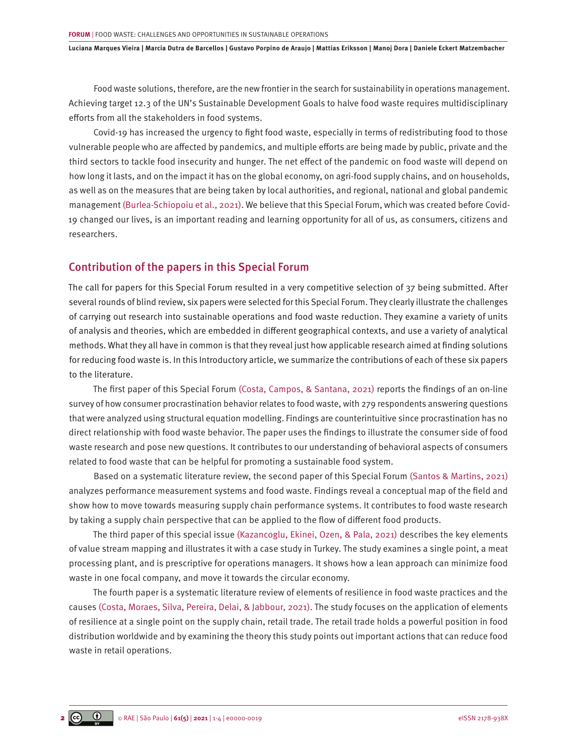**Luciana Marques Vieira | Marcia Dutra de Barcellos | Gustavo Porpino de Araujo | Mattias Eriksson | Manoj Dora | Daniele Eckert Matzembacher**

Food waste solutions, therefore, are the new frontier in the search for sustainability in operations management. Achieving target 12.3 of the UN's Sustainable Development Goals to halve food waste requires multidisciplinary efforts from all the stakeholders in food systems.

Covid-19 has increased the urgency to fight food waste, especially in terms of redistributing food to those vulnerable people who are affected by pandemics, and multiple efforts are being made by public, private and the third sectors to tackle food insecurity and hunger. The net effect of the pandemic on food waste will depend on how long it lasts, and on the impact it has on the global economy, on agri-food supply chains, and on households, as well as on the measures that are being taken by local authorities, and regional, national and global pandemic management [\(Burlea-Schiopoiu et al., 2021\)](#page-2-0). We believe that this Special Forum, which was created before Covid-19 changed our lives, is an important reading and learning opportunity for all of us, as consumers, citizens and researchers.

#### Contribution of the papers in this Special Forum

The call for papers for this Special Forum resulted in a very competitive selection of 37 being submitted. After several rounds of blind review, six papers were selected for this Special Forum. They clearly illustrate the challenges of carrying out research into sustainable operations and food waste reduction. They examine a variety of units of analysis and theories, which are embedded in different geographical contexts, and use a variety of analytical methods. What they all have in common is that they reveal just how applicable research aimed at finding solutions for reducing food waste is. In this Introductory article, we summarize the contributions of each of these six papers to the literature.

The first paper of this Special Forum [\(Costa, Campos, & Santana, 2021\)](#page-2-0) reports the findings of an on-line survey of how consumer procrastination behavior relates to food waste, with 279 respondents answering questions that were analyzed using structural equation modelling. Findings are counterintuitive since procrastination has no direct relationship with food waste behavior. The paper uses the findings to illustrate the consumer side of food waste research and pose new questions. It contributes to our understanding of behavioral aspects of consumers related to food waste that can be helpful for promoting a sustainable food system.

Based on a systematic literature review, the second paper of this Special Forum [\(Santos & Martins, 2021\)](#page-3-0) analyzes performance measurement systems and food waste. Findings reveal a conceptual map of the field and show how to move towards measuring supply chain performance systems. It contributes to food waste research by taking a supply chain perspective that can be applied to the flow of different food products.

The third paper of this special issue [\(Kazancoglu, Ekinei, Ozen, & Pala, 2021\)](#page-2-0) describes the key elements of value stream mapping and illustrates it with a case study in Turkey. The study examines a single point, a meat processing plant, and is prescriptive for operations managers. It shows how a lean approach can minimize food waste in one focal company, and move it towards the circular economy.

The fourth paper is a systematic literature review of elements of resilience in food waste practices and the causes [\(Costa, Moraes, Silva, Pereira, Delai, & Jabbour, 2021\).](#page-2-0) The study focuses on the application of elements of resilience at a single point on the supply chain, retail trade. The retail trade holds a powerful position in food distribution worldwide and by examining the theory this study points out important actions that can reduce food waste in retail operations.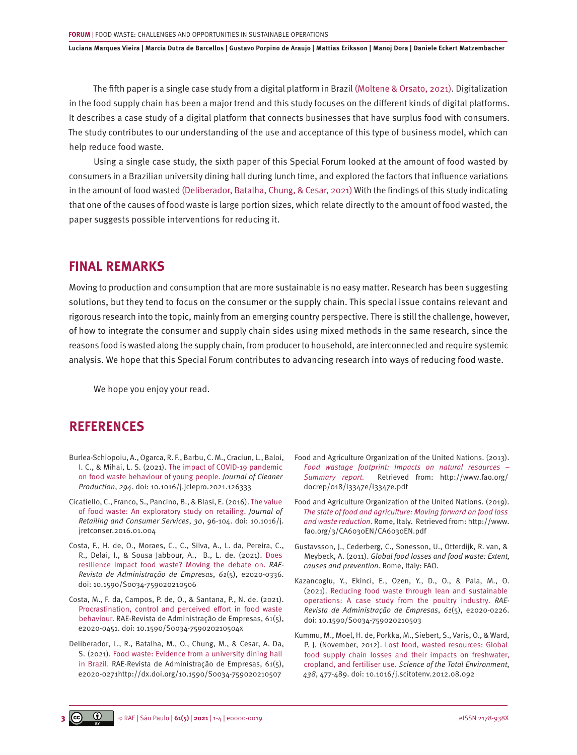<span id="page-2-0"></span>**Luciana Marques Vieira | Marcia Dutra de Barcellos | Gustavo Porpino de Araujo | Mattias Eriksson | Manoj Dora | Daniele Eckert Matzembacher**

The fifth paper is a single case study from a digital platform in Brazil [\(Moltene & Orsato, 2021\)](#page-3-0). Digitalization in the food supply chain has been a major trend and this study focuses on the different kinds of digital platforms. It describes a case study of a digital platform that connects businesses that have surplus food with consumers. The study contributes to our understanding of the use and acceptance of this type of business model, which can help reduce food waste.

Using a single case study, the sixth paper of this Special Forum looked at the amount of food wasted by consumers in a Brazilian university dining hall during lunch time, and explored the factors that influence variations in the amount of food wasted (Deliberador, Batalha, Chung, & Cesar, 2021) With the findings of this study indicating that one of the causes of food waste is large portion sizes, which relate directly to the amount of food wasted, the paper suggests possible interventions for reducing it.

### **FINAL REMARKS**

Moving to production and consumption that are more sustainable is no easy matter. Research has been suggesting solutions, but they tend to focus on the consumer or the supply chain. This special issue contains relevant and rigorous research into the topic, mainly from an emerging country perspective. There is still the challenge, however, of how to integrate the consumer and supply chain sides using mixed methods in the same research, since the reasons food is wasted along the supply chain, from producer to household, are interconnected and require systemic analysis. We hope that this Special Forum contributes to advancing research into ways of reducing food waste.

We hope you enjoy your read.

## **REFERENCES**

- [Burlea-Schiopoiu, A., Ogarca, R. F., Barbu, C. M., Craciun, L., Baloi,](https://doi.org/10.1016/j.jclepro.2021.126333) I. C., & Mihai, L. S. (2021). [The impact of COVID-19 pandemic](https://doi.org/10.1016/j.jclepro.2021.126333)  [on food waste behaviour of young people.](https://doi.org/10.1016/j.jclepro.2021.126333) *Journal of Cleaner Production*, *294*[. doi: 10.1016/j.jclepro.2021.126333](https://doi.org/10.1016/j.jclepro.2021.126333)
- [Cicatiello, C., Franco, S., Pancino, B., & Blasi, E. \(2016\). The value](https://doi.org/10.1016/j.jretconser.2016.01.004)  [of food waste: An exploratory study on retailing.](https://doi.org/10.1016/j.jretconser.2016.01.004) *Journal of [Retailing and Consumer Services](https://doi.org/10.1016/j.jretconser.2016.01.004)*, *30*, 96-104. doi: 10.1016/j. [jretconser.2016.01.004](https://doi.org/10.1016/j.jretconser.2016.01.004)
- [Costa, F., H. de, O., Moraes, C., C., Silva, A., L. da, Pereira, C.,](http://dx.doi.org/10.1590/S0034-759020210506) [R., Delai, I., & Sousa Jabbour, A., B., L. de. \(2021\). Does](http://dx.doi.org/10.1590/S0034-759020210506)  [resilience impact food waste? Moving the debate on.](http://dx.doi.org/10.1590/S0034-759020210506) *RAE-[Revista de Administração de Empresas](http://dx.doi.org/10.1590/S0034-759020210506)*, *61*(5), e2020-0336. [doi: 10.1590/S0034-759020210506](http://dx.doi.org/10.1590/S0034-759020210506)
- [Costa, M., F. da, Campos, P. de, O., & Santana, P., N. de. \(2021\).](http://dx.doi.org/10.1590/S0034-759020210504x) [Procrastination, control and perceived effort in food waste](http://dx.doi.org/10.1590/S0034-759020210504x)  [behaviour. RAE-Revista de Administração de Empresas, 61\(5\),](http://dx.doi.org/10.1590/S0034-759020210504x) [e2020-0451. doi: 10.1590/S0034-759020210504x](http://dx.doi.org/10.1590/S0034-759020210504x)
- [Deliberador, L., R., Batalha, M., O., Chung, M., & Cesar, A. Da,](http://dx.doi.org/10.1590/S0034-759020210507x) [S. \(2021\). Food waste: Evidence from a university dining hall](http://dx.doi.org/10.1590/S0034-759020210507x)  [in Brazil. RAE-Revista de Administração de Empresas, 61\(5\),](http://dx.doi.org/10.1590/S0034-759020210507x) [e2020-0271http://dx.doi.org/10.1590/S0034-759020210507](http://dx.doi.org/10.1590/S0034-759020210507x)
- [Food and Agriculture Organization of the United Nations. \(2013\).](Food and Agriculture Organization of the United Nations. (2013). Food wastage footprint: Impacts on natural resources  Retrieved from: http://www.fao.org/docrep/018/i3347e/i3347e.pdf)  *[Food wastage footprint: Impacts on natural resources –](Food and Agriculture Organization of the United Nations. (2013). Food wastage footprint: Impacts on natural resources   Retrieved from: http://www.fao.org/docrep/018/i3347e/i3347e.pdf) Summary report.* [Retrieved from: http://www.fao.org/](Food and Agriculture Organization of the United Nations. (2013). Food wastage footprint: Impacts on natural resources   Retrieved from: http://www.fao.org/docrep/018/i3347e/i3347e.pdf) [docrep/018/i3347e/i3347e.pdf](Food and Agriculture Organization of the United Nations. (2013). Food wastage footprint: Impacts on natural resources   Retrieved from: http://www.fao.org/docrep/018/i3347e/i3347e.pdf)
- [Food and Agriculture Organization of the United Nations. \(2019\).](Food and Agriculture Organization of the United Nations. (2019). The state of food and agriculture: Moving forward on food loss and waste reduction. Rome, Italy.  Retrieved from: http://www.fao.org/3/CA6030EN/CA6030EN.pdf)  *[The state of food and agriculture: Moving forward on food loss](Food and Agriculture Organization of the United Nations. (2019). The state of food and agriculture: Moving forward on food loss and waste reduction. Rome, Italy.  Retrieved from: http://www.fao.org/3/CA6030EN/CA6030EN.pdf) and waste reduction*[. Rome, Italy. Retrieved from: http://www.](Food and Agriculture Organization of the United Nations. (2019). The state of food and agriculture: Moving forward on food loss and waste reduction. Rome, Italy.  Retrieved from: http://www.fao.org/3/CA6030EN/CA6030EN.pdf) [fao.org/3/CA6030EN/CA6030EN.pdf](Food and Agriculture Organization of the United Nations. (2019). The state of food and agriculture: Moving forward on food loss and waste reduction. Rome, Italy.  Retrieved from: http://www.fao.org/3/CA6030EN/CA6030EN.pdf)
- Gustavsson, J., Cederberg, C., Sonesson, U., Otterdijk, R. van, & Meybeck, A. (2011). *Global food losses and food waste: Extent, causes and prevention.* Rome, Italy: FAO.
- [Kazancoglu, Y., Ekinci, E., Ozen, Y., D., O., & Pala, M., O.](http://dx.doi.org/10.1590/S0034-759020210503)  [\(2021\). Reducing food waste through lean and sustainable](http://dx.doi.org/10.1590/S0034-759020210503)  [operations: A case study from the poultry industry.](http://dx.doi.org/10.1590/S0034-759020210503) *RAE-[Revista de Administração de Empresas](http://dx.doi.org/10.1590/S0034-759020210503)*, *61*(5), e2020-0226. [doi: 10.1590/S0034-759020210503](http://dx.doi.org/10.1590/S0034-759020210503)
- [Kummu, M., Moel, H. de, Porkka, M., Siebert, S., Varis, O., & Ward,](https://doi.org/10.1016/j.scitotenv.2012.08.092)  [P. J. \(November, 2012\). Lost food, wasted resources: Global](https://doi.org/10.1016/j.scitotenv.2012.08.092)  [food supply chain losses and their impacts on freshwater,](https://doi.org/10.1016/j.scitotenv.2012.08.092)  cropland, and fertiliser use. *[Science of the Total Environment](https://doi.org/10.1016/j.scitotenv.2012.08.092)*, *438*, 477-489. [doi: 10.1016/j.scitotenv.2012.08.092](https://doi.org/10.1016/j.scitotenv.2012.08.092)